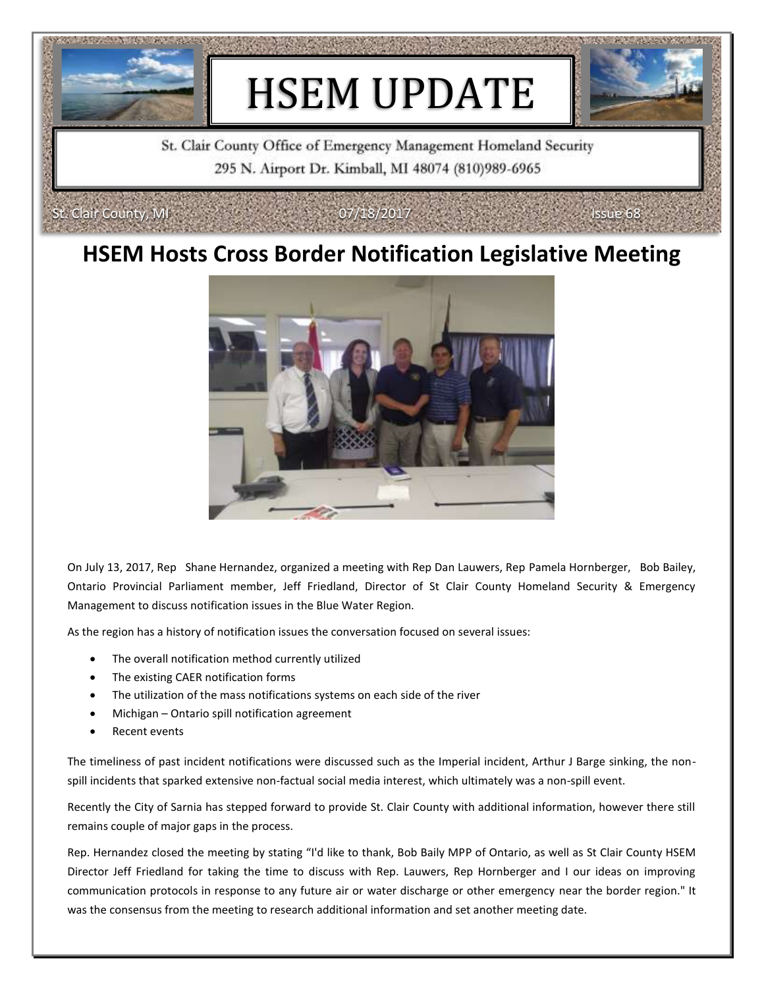

St. Clair County Office of Emergency Management Homeland Security 295 N. Airport Dr. Kimball, MI 48074 (810)989-6965

### **HSEM Hosts Cross Border Notification Legislative Meeting**



On July 13, 2017, Rep Shane Hernandez, organized a meeting with Rep Dan Lauwers, Rep Pamela Hornberger, Bob Bailey, Ontario Provincial Parliament member, Jeff Friedland, Director of St Clair County Homeland Security & Emergency Management to discuss notification issues in the Blue Water Region.

As the region has a history of notification issues the conversation focused on several issues:

- The overall notification method currently utilized
- The existing CAER notification forms
- The utilization of the mass notifications systems on each side of the river
- Michigan Ontario spill notification agreement
- Recent events

Clair County, MI

The timeliness of past incident notifications were discussed such as the Imperial incident, Arthur J Barge sinking, the nonspill incidents that sparked extensive non-factual social media interest, which ultimately was a non-spill event.

Recently the City of Sarnia has stepped forward to provide St. Clair County with additional information, however there still remains couple of major gaps in the process.

Rep. Hernandez closed the meeting by stating "I'd like to thank, Bob Baily MPP of Ontario, as well as St Clair County HSEM Director Jeff Friedland for taking the time to discuss with Rep. Lauwers, Rep Hornberger and I our ideas on improving communication protocols in response to any future air or water discharge or other emergency near the border region." It was the consensus from the meeting to research additional information and set another meeting date.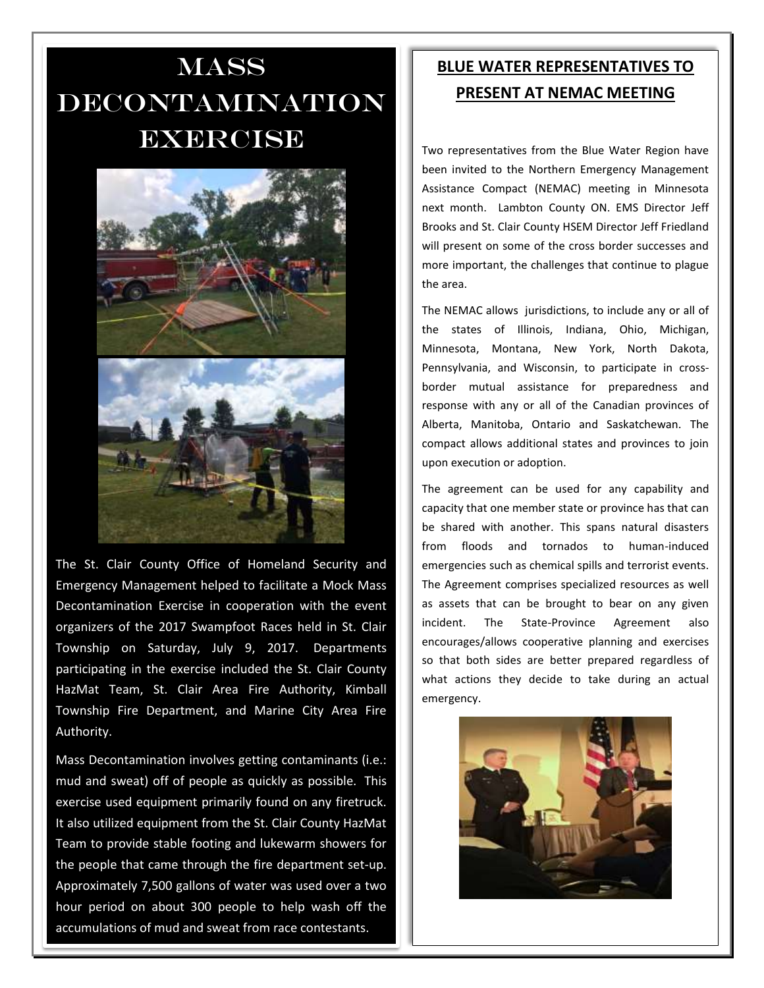## **MASS** decontamination **EXERCISE**



The St. Clair County Office of Homeland Security and Emergency Management helped to facilitate a Mock Mass Decontamination Exercise in cooperation with the event organizers of the 2017 Swampfoot Races held in St. Clair Township on Saturday, July 9, 2017. Departments participating in the exercise included the St. Clair County HazMat Team, St. Clair Area Fire Authority, Kimball Township Fire Department, and Marine City Area Fire Authority.

Mass Decontamination involves getting contaminants (i.e.: mud and sweat) off of people as quickly as possible. This exercise used equipment primarily found on any firetruck. It also utilized equipment from the St. Clair County HazMat Team to provide stable footing and lukewarm showers for the people that came through the fire department set-up. Approximately 7,500 gallons of water was used over a two hour period on about 300 people to help wash off the accumulations of mud and sweat from race contestants.

#### **BLUE WATER REPRESENTATIVES TO PRESENT AT NEMAC MEETING**

Two representatives from the Blue Water Region have been invited to the Northern Emergency Management Assistance Compact (NEMAC) meeting in Minnesota next month. Lambton County ON. EMS Director Jeff Brooks and St. Clair County HSEM Director Jeff Friedland will present on some of the cross border successes and more important, the challenges that continue to plague the area.

The NEMAC allows jurisdictions, to include any or all of the states of Illinois, Indiana, Ohio, Michigan, Minnesota, Montana, New York, North Dakota, Pennsylvania, and Wisconsin, to participate in crossborder mutual assistance for preparedness and response with any or all of the Canadian provinces of Alberta, Manitoba, Ontario and Saskatchewan. The compact allows additional states and provinces to join upon execution or adoption.

The agreement can be used for any capability and capacity that one member state or province has that can be shared with another. This spans natural disasters from floods and tornados to human-induced emergencies such as chemical spills and terrorist events. The Agreement comprises specialized resources as well as assets that can be brought to bear on any given incident. The State-Province Agreement also encourages/allows cooperative planning and exercises so that both sides are better prepared regardless of what actions they decide to take during an actual emergency.

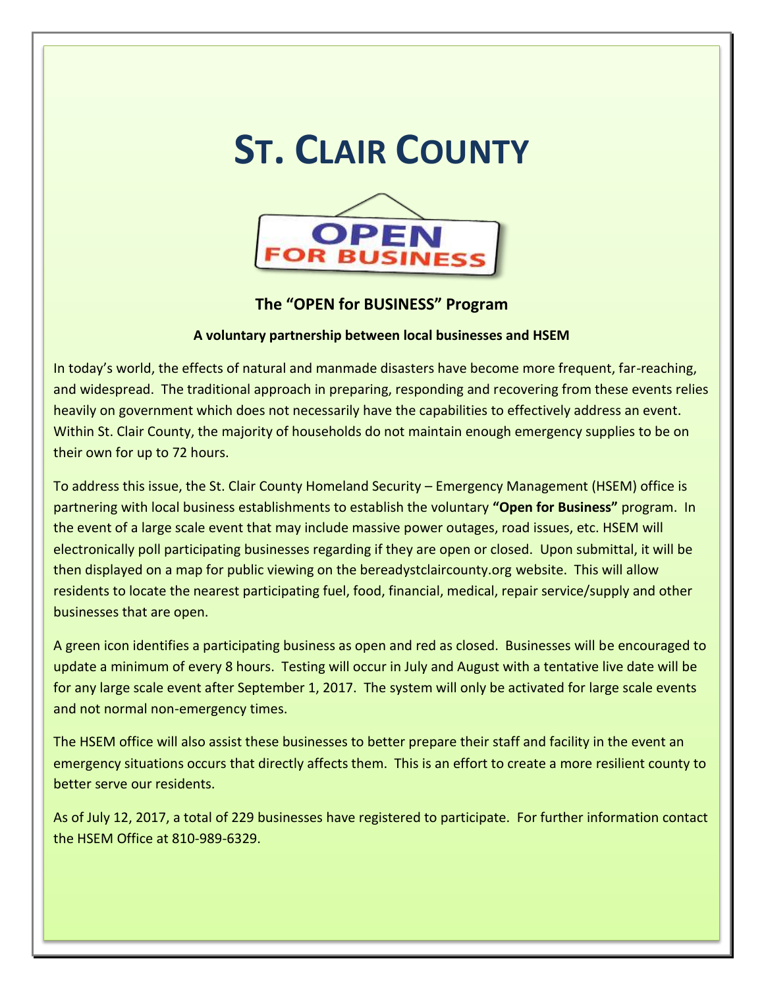# **ST. CLAIR COUNTY**



#### **The "OPEN for BUSINESS" Program**

#### **A voluntary partnership between local businesses and HSEM**

In today's world, the effects of natural and manmade disasters have become more frequent, far-reaching, and widespread. The traditional approach in preparing, responding and recovering from these events relies heavily on government which does not necessarily have the capabilities to effectively address an event. Within St. Clair County, the majority of households do not maintain enough emergency supplies to be on their own for up to 72 hours.

To address this issue, the St. Clair County Homeland Security – Emergency Management (HSEM) office is partnering with local business establishments to establish the voluntary **"Open for Business"** program. In the event of a large scale event that may include massive power outages, road issues, etc. HSEM will electronically poll participating businesses regarding if they are open or closed. Upon submittal, it will be then displayed on a map for public viewing on the bereadystclaircounty.org website. This will allow residents to locate the nearest participating fuel, food, financial, medical, repair service/supply and other businesses that are open.

A green icon identifies a participating business as open and red as closed. Businesses will be encouraged to update a minimum of every 8 hours. Testing will occur in July and August with a tentative live date will be for any large scale event after September 1, 2017. The system will only be activated for large scale events and not normal non-emergency times.

The HSEM office will also assist these businesses to better prepare their staff and facility in the event an emergency situations occurs that directly affects them. This is an effort to create a more resilient county to better serve our residents.

As of July 12, 2017, a total of 229 businesses have registered to participate. For further information contact the HSEM Office at 810-989-6329.